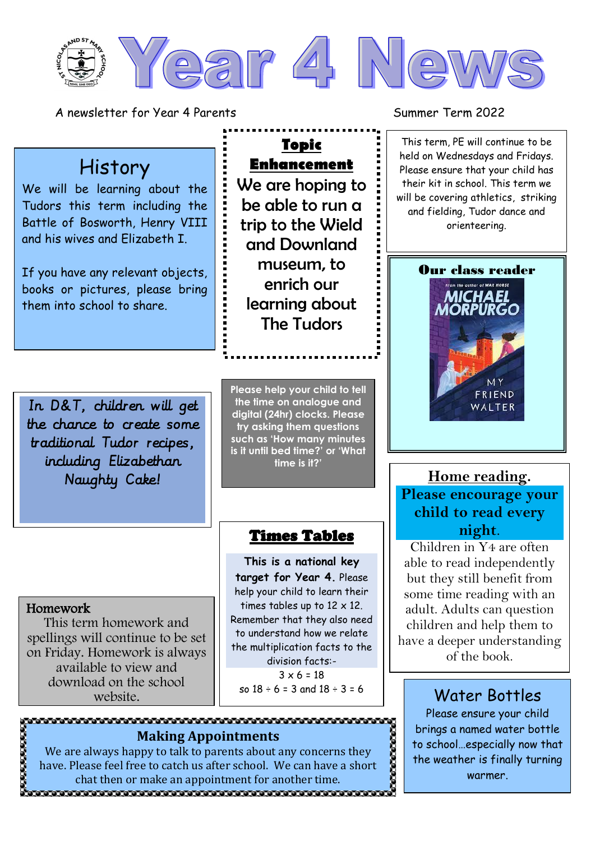

**Topic** 

**Enhancement**

We are hoping to be able to run a trip to the Wield and Downland

> museum, to enrich our

learning about The Tudors

A newsletter for Year 4 Parents Summer Term 2022

#### This term, PE will continue to be held on Wednesdays and Fridays. Please ensure that your child has their kit in school. This term we will be covering athletics, striking and fielding, Tudor dance and orienteering.



# **Please encourage your child to read every night**.

Children in Y4 are often able to read independently but they still benefit from some time reading with an adult. Adults can question children and help them to have a deeper understanding of the book.

Please ensure your child brings a named water bottle to school…especially now that the weather is finally turning warmer.

ಣಾಣಾ

## History

We will be learning about the Tudors this term including the Battle of Bosworth, Henry VIII and his wives and Elizabeth I.

If you have any relevant objects, books or pictures, please bring them into school to share.

In D&T, children will get the chance to create some traditional Tudor recipes, including Elizabethan Naughty Cake! **Home reading.** 

**Please help your child to tell the time on analogue and digital (24hr) clocks. Please try asking them questions such as 'How many minutes is it until bed time?' or 'What time is it?'**

### Times Tables

**This is a national key target for Year 4.** Please help your child to learn their times tables up to  $12 \times 12$ . Remember that they also need to understand how we relate the multiplication facts to the division facts:-  $3 \times 6 = 18$ 

#### Homework This term homework and

spellings will continue to be set on Friday. Homework is always available to view and download on the school website.

so  $18 \div 6 = 3$  and  $18 \div 3 = 6$  Water Bottles 

#### We are always happy to talk to parents about any concerns they have. Please feel free to catch us after school. We can have a short chat then or make an appointment for another time.

**Making Appointments**